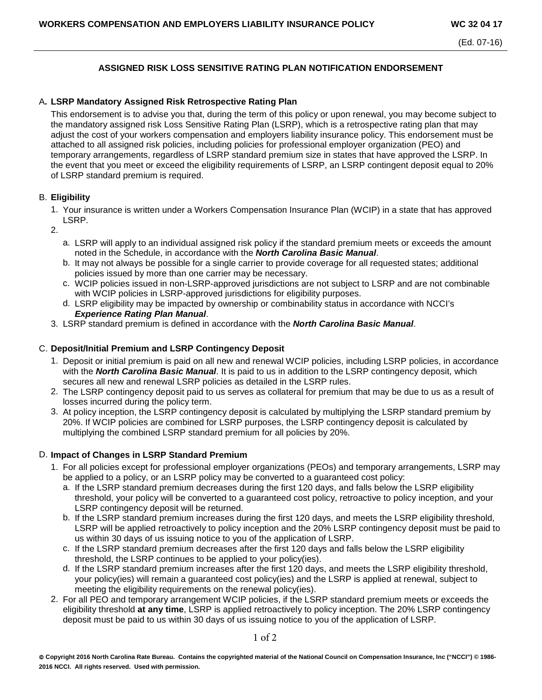# **ASSIGNED RISK LOSS SENSITIVE RATING PLAN NOTIFICATION ENDORSEMENT**

## A**. LSRP Mandatory Assigned Risk Retrospective Rating Plan**

This endorsement is to advise you that, during the term of this policy or upon renewal, you may become subject to the mandatory assigned risk Loss Sensitive Rating Plan (LSRP), which is a retrospective rating plan that may adjust the cost of your workers compensation and employers liability insurance policy. This endorsement must be attached to all assigned risk policies, including policies for professional employer organization (PEO) and temporary arrangements, regardless of LSRP standard premium size in states that have approved the LSRP. In the event that you meet or exceed the eligibility requirements of LSRP, an LSRP contingent deposit equal to 20% of LSRP standard premium is required.

## B. **Eligibility**

- 1. Your insurance is written under a Workers Compensation Insurance Plan (WCIP) in a state that has approved LSRP.
- 2.
	- a. LSRP will apply to an individual assigned risk policy if the standard premium meets or exceeds the amount noted in the Schedule, in accordance with the *North Carolina Basic Manual*.
	- b. It may not always be possible for a single carrier to provide coverage for all requested states; additional policies issued by more than one carrier may be necessary.
	- c. WCIP policies issued in non-LSRP-approved jurisdictions are not subject to LSRP and are not combinable with WCIP policies in LSRP-approved jurisdictions for eligibility purposes.
	- d. LSRP eligibility may be impacted by ownership or combinability status in accordance with NCCI's *Experience Rating Plan Manual*.
- 3. LSRP standard premium is defined in accordance with the *North Carolina Basic Manual*.

## C. **Deposit/Initial Premium and LSRP Contingency Deposit**

- 1. Deposit or initial premium is paid on all new and renewal WCIP policies, including LSRP policies, in accordance with the *North Carolina Basic Manual*. It is paid to us in addition to the LSRP contingency deposit, which secures all new and renewal LSRP policies as detailed in the LSRP rules.
- 2. The LSRP contingency deposit paid to us serves as collateral for premium that may be due to us as a result of losses incurred during the policy term.
- 3. At policy inception, the LSRP contingency deposit is calculated by multiplying the LSRP standard premium by 20%. If WCIP policies are combined for LSRP purposes, the LSRP contingency deposit is calculated by multiplying the combined LSRP standard premium for all policies by 20%.

## D. **Impact of Changes in LSRP Standard Premium**

- 1. For all policies except for professional employer organizations (PEOs) and temporary arrangements, LSRP may be applied to a policy, or an LSRP policy may be converted to a guaranteed cost policy:
	- a. If the LSRP standard premium decreases during the first 120 days, and falls below the LSRP eligibility threshold, your policy will be converted to a guaranteed cost policy, retroactive to policy inception, and your LSRP contingency deposit will be returned.
	- b. If the LSRP standard premium increases during the first 120 days, and meets the LSRP eligibility threshold, LSRP will be applied retroactively to policy inception and the 20% LSRP contingency deposit must be paid to us within 30 days of us issuing notice to you of the application of LSRP.
	- c. If the LSRP standard premium decreases after the first 120 days and falls below the LSRP eligibility threshold, the LSRP continues to be applied to your policy(ies).
	- d. If the LSRP standard premium increases after the first 120 days, and meets the LSRP eligibility threshold, your policy(ies) will remain a guaranteed cost policy(ies) and the LSRP is applied at renewal, subject to meeting the eligibility requirements on the renewal policy(ies).
- 2. For all PEO and temporary arrangement WCIP policies, if the LSRP standard premium meets or exceeds the eligibility threshold **at any time**, LSRP is applied retroactively to policy inception. The 20% LSRP contingency deposit must be paid to us within 30 days of us issuing notice to you of the application of LSRP.